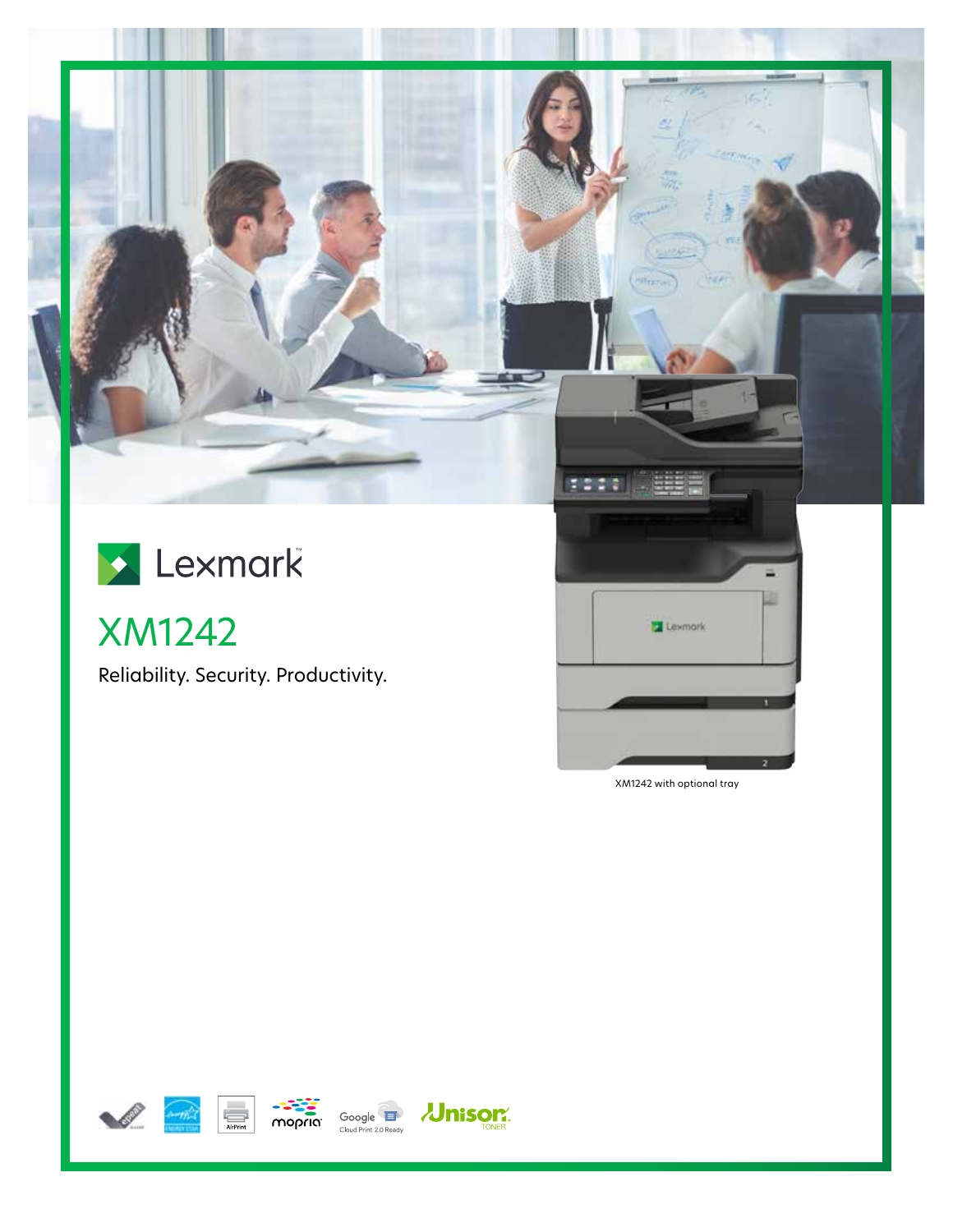



XM1242

Reliability. Security. Productivity.



XM1242 with optional tray







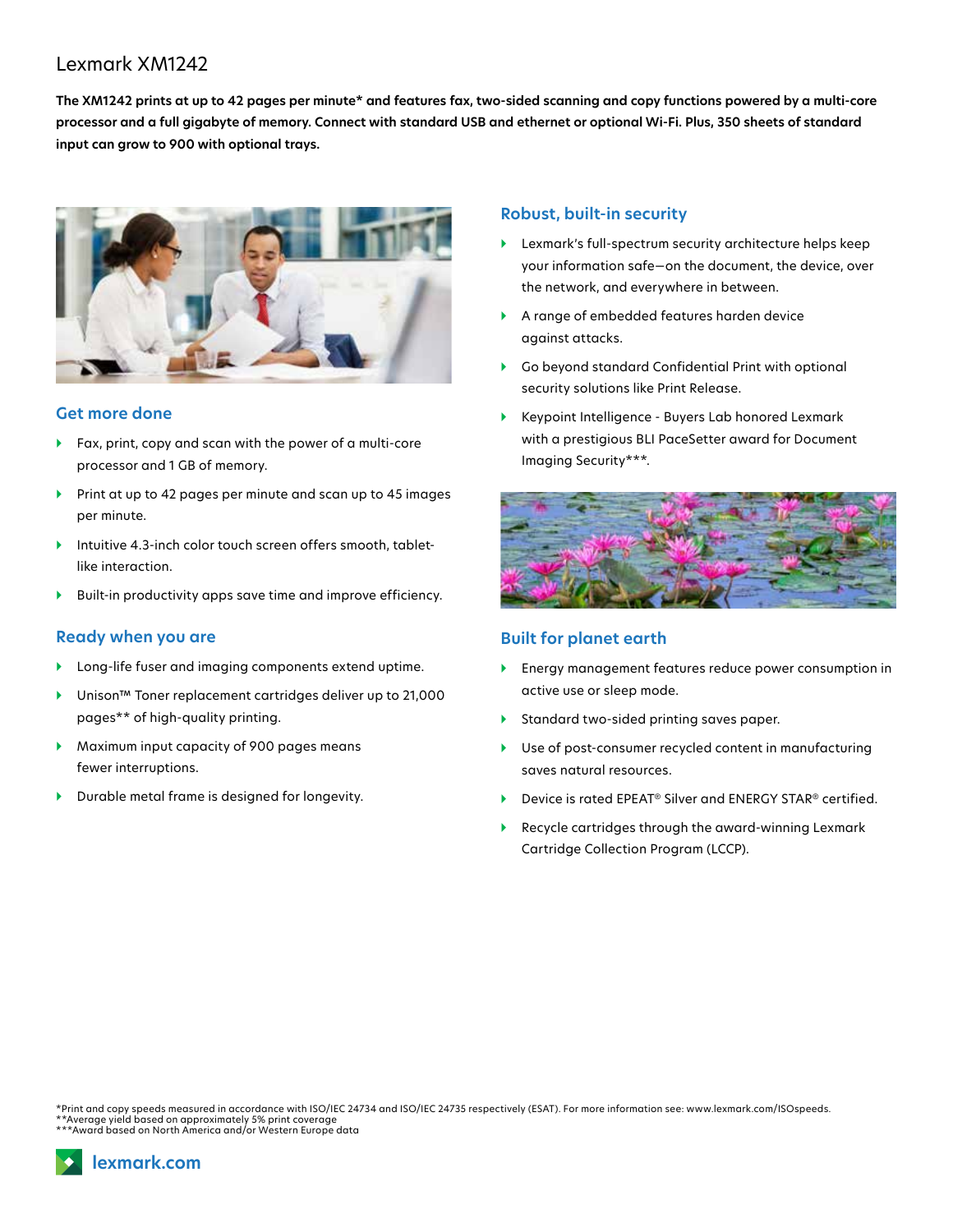# Lexmark XM1242

**The XM1242 prints at up to 42 pages per minute\* and features fax, two-sided scanning and copy functions powered by a multi-core processor and a full gigabyte of memory. Connect with standard USB and ethernet or optional Wi-Fi. Plus, 350 sheets of standard input can grow to 900 with optional trays.**



#### **Get more done**

- } Fax, print, copy and scan with the power of a multi-core processor and 1 GB of memory.
- Print at up to 42 pages per minute and scan up to 45 images per minute.
- Intuitive 4.3-inch color touch screen offers smooth, tabletlike interaction.
- Built-in productivity apps save time and improve efficiency.

#### **Ready when you are**

- } Long-life fuser and imaging components extend uptime.
- } Unison™ Toner replacement cartridges deliver up to 21,000 pages\*\* of high-quality printing.
- } Maximum input capacity of 900 pages means fewer interruptions.
- **•** Durable metal frame is designed for longevity.

#### **Robust, built-in security**

- } Lexmark's full-spectrum security architecture helps keep your information safe—on the document, the device, over the network, and everywhere in between.
- } A range of embedded features harden device against attacks.
- } Go beyond standard Confidential Print with optional security solutions like Print Release.
- } Keypoint Intelligence Buyers Lab honored Lexmark with a prestigious BLI PaceSetter award for Document Imaging Security\*\*\*.



### **Built for planet earth**

- } Energy management features reduce power consumption in active use or sleep mode.
- } Standard two-sided printing saves paper.
- } Use of post-consumer recycled content in manufacturing saves natural resources.
- ▶ Device is rated EPEAT<sup>®</sup> Silver and ENERGY STAR® certified.
- } Recycle cartridges through the award-winning Lexmark Cartridge Collection Program (LCCP).

\*Print and copy speeds measured in accordance with ISO/IEC 24734 and ISO/IEC 24735 respectively (ESAT). For more information see: www.lexmark.com/ISOspeeds. \*\*Average yield based on approximately 5% print coverage \*\*\*Award based on North America and/or Western Europe data

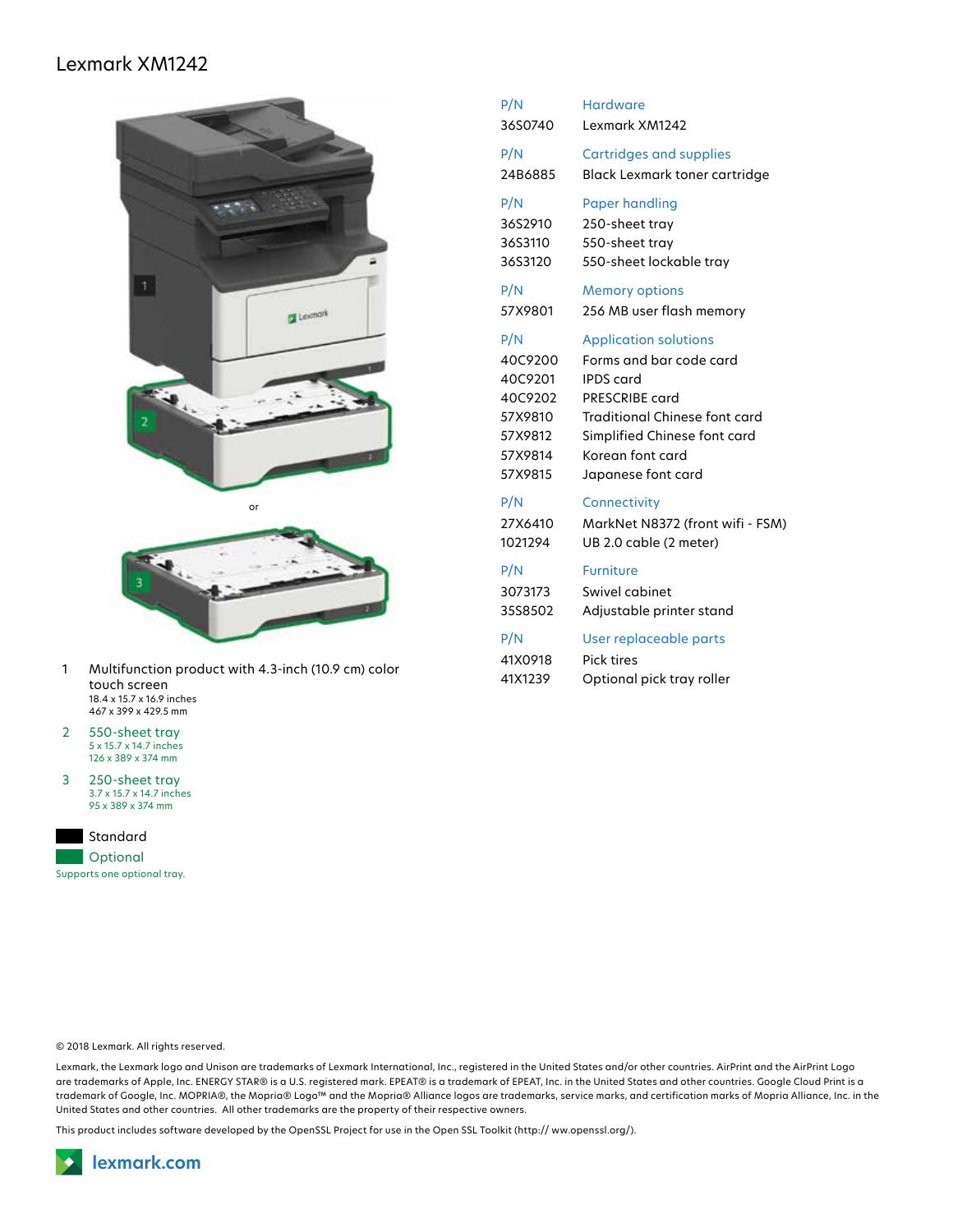## Lexmark XM1242





- 1 Multifunction product with 4.3-inch (10.9 cm) color touch screen 18.4 x 15.7 x 16.9 inches 467 x 399 x 429.5 mm
- 2 550-sheet tray 5 x 15.7 x 14.7 inches 126 x 389 x 374 mm
- 3 250-sheet tray 3.7 x 15.7 x 14.7 inches 95 x 389 x 374 mm
- Standard Optional Supports one optional tray.

| P/N     | Hardware                             |
|---------|--------------------------------------|
| 36S0740 | Lexmark XM1242                       |
| P/N     | <b>Cartridges and supplies</b>       |
| 24B6885 | <b>Black Lexmark toner cartridge</b> |
| P/N     | Paper handling                       |
| 36S2910 | 250-sheet tray                       |
| 36S3110 | 550-sheet tray                       |
| 36S3120 | 550-sheet lockable tray              |
| P/N     | <b>Memory options</b>                |
| 57X9801 | 256 MB user flash memory             |
| P/N     | <b>Application solutions</b>         |
| 40C9200 | Forms and bar code card              |
| 40C9201 | <b>IPDS</b> card                     |
| 40C9202 | PRESCRIBE card                       |
| 57X9810 | <b>Traditional Chinese font card</b> |
| 57X9812 | Simplified Chinese font card         |
| 57X9814 | Korean font card                     |
| 57X9815 | Japanese font card                   |
| P/N     | Connectivity                         |
| 27X6410 | MarkNet N8372 (front wifi - FSM)     |
| 1021294 | UB 2.0 cable (2 meter)               |
| P/N     | <b>Furniture</b>                     |
| 3073173 | Swivel cabinet                       |
| 35S8502 | Adjustable printer stand             |
| P/N     | User replaceable parts               |
| 41X0918 | Pick tires                           |
| 41X1239 | Optional pick tray roller            |

© 2018 Lexmark. All rights reserved.

Lexmark, the Lexmark logo and Unison are trademarks of Lexmark International, Inc., registered in the United States and/or other countries. AirPrint and the AirPrint Logo are trademarks of Apple, Inc. ENERGY STAR® is a U.S. registered mark. EPEAT® is a trademark of EPEAT, Inc. in the United States and other countries. Google Cloud Print is a trademark of Google, Inc. MOPRIA®, the Mopria® Logo™ and the Mopria® Alliance logos are trademarks, service marks, and certification marks of Mopria Alliance, Inc. in the United States and other countries. All other trademarks are the property of their respective owners.

This product includes software developed by the OpenSSL Project for use in the Open SSL Toolkit (http:// ww.openssl.org/).